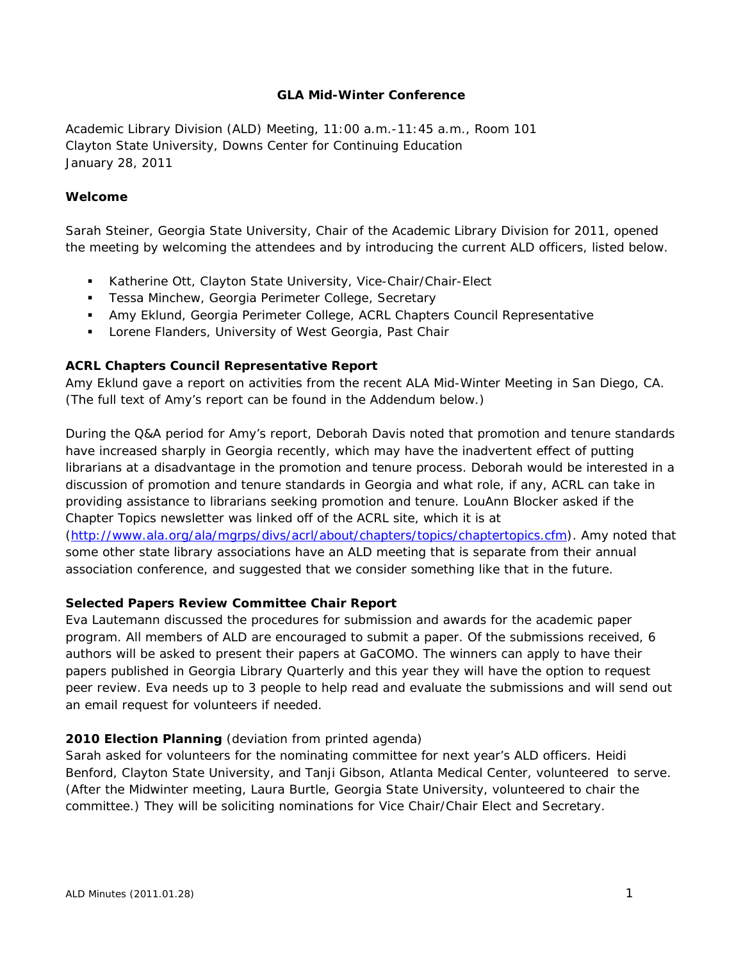## **GLA Mid-Winter Conference**

Academic Library Division (ALD) Meeting, 11:00 a.m.-11:45 a.m., Room 101 Clayton State University, Downs Center for Continuing Education January 28, 2011

## **Welcome**

Sarah Steiner, Georgia State University, Chair of the Academic Library Division for 2011, opened the meeting by welcoming the attendees and by introducing the current ALD officers, listed below.

- Katherine Ott, Clayton State University, Vice-Chair/Chair-Elect
- **Tessa Minchew, Georgia Perimeter College, Secretary**
- Amy Eklund, Georgia Perimeter College, ACRL Chapters Council Representative
- **Lorene Flanders, University of West Georgia, Past Chair**

#### **ACRL Chapters Council Representative Report**

Amy Eklund gave a report on activities from the recent ALA Mid-Winter Meeting in San Diego, CA. (The full text of Amy's report can be found in the Addendum below.)

During the Q&A period for Amy's report, Deborah Davis noted that promotion and tenure standards have increased sharply in Georgia recently, which may have the inadvertent effect of putting librarians at a disadvantage in the promotion and tenure process. Deborah would be interested in a discussion of promotion and tenure standards in Georgia and what role, if any, ACRL can take in providing assistance to librarians seeking promotion and tenure. LouAnn Blocker asked if the Chapter Topics newsletter was linked off of the ACRL site, which it is at

(<http://www.ala.org/ala/mgrps/divs/acrl/about/chapters/topics/chaptertopics.cfm>). Amy noted that some other state library associations have an ALD meeting that is separate from their annual association conference, and suggested that we consider something like that in the future.

#### **Selected Papers Review Committee Chair Report**

Eva Lautemann discussed the procedures for submission and awards for the academic paper program. All members of ALD are encouraged to submit a paper. Of the submissions received, 6 authors will be asked to present their papers at GaCOMO. The winners can apply to have their papers published in Georgia Library Quarterly and this year they will have the option to request peer review. Eva needs up to 3 people to help read and evaluate the submissions and will send out an email request for volunteers if needed.

#### **2010 Election Planning** (deviation from printed agenda)

Sarah asked for volunteers for the nominating committee for next year's ALD officers. Heidi Benford, Clayton State University, and Tanji Gibson, Atlanta Medical Center, volunteered to serve. (After the Midwinter meeting, Laura Burtle, Georgia State University, volunteered to chair the committee.) They will be soliciting nominations for Vice Chair/Chair Elect and Secretary.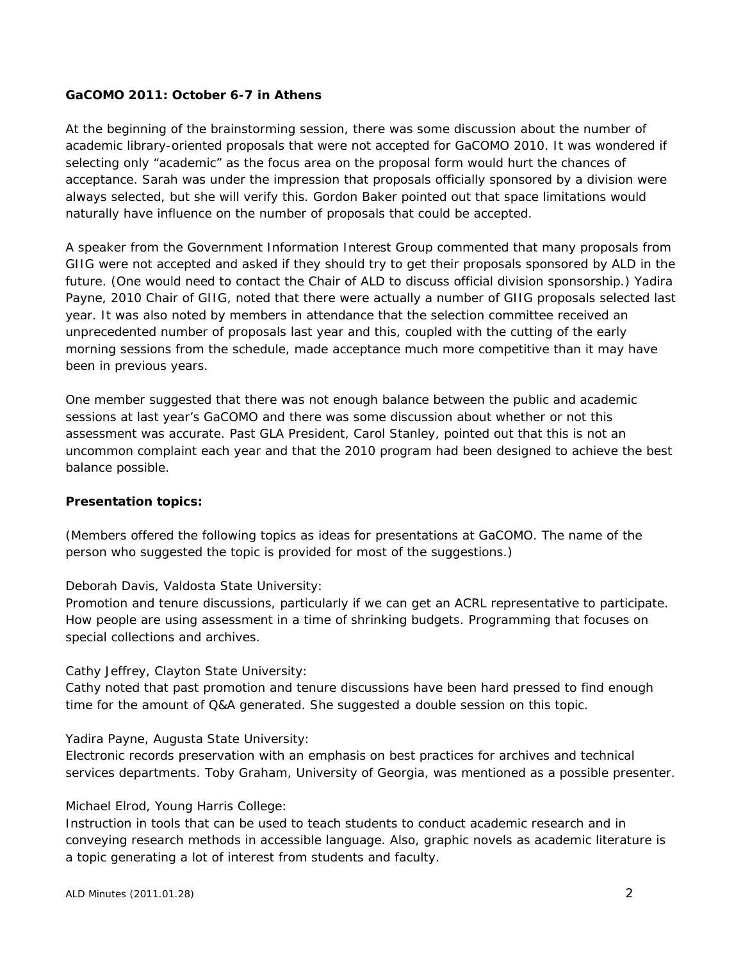## **GaCOMO 2011: October 6-7 in Athens**

At the beginning of the brainstorming session, there was some discussion about the number of academic library-oriented proposals that were not accepted for GaCOMO 2010. It was wondered if selecting only "academic" as the focus area on the proposal form would hurt the chances of acceptance. Sarah was under the impression that proposals officially sponsored by a division were always selected, but she will verify this. Gordon Baker pointed out that space limitations would naturally have influence on the number of proposals that could be accepted.

A speaker from the Government Information Interest Group commented that many proposals from GIIG were not accepted and asked if they should try to get their proposals sponsored by ALD in the future. (One would need to contact the Chair of ALD to discuss official division sponsorship.) Yadira Payne, 2010 Chair of GIIG, noted that there were actually a number of GIIG proposals selected last year. It was also noted by members in attendance that the selection committee received an unprecedented number of proposals last year and this, coupled with the cutting of the early morning sessions from the schedule, made acceptance much more competitive than it may have been in previous years.

One member suggested that there was not enough balance between the public and academic sessions at last year's GaCOMO and there was some discussion about whether or not this assessment was accurate. Past GLA President, Carol Stanley, pointed out that this is not an uncommon complaint each year and that the 2010 program had been designed to achieve the best balance possible.

## **Presentation topics:**

(Members offered the following topics as ideas for presentations at GaCOMO. The name of the person who suggested the topic is provided for most of the suggestions.)

Deborah Davis, Valdosta State University:

Promotion and tenure discussions, particularly if we can get an ACRL representative to participate. How people are using assessment in a time of shrinking budgets. Programming that focuses on special collections and archives.

Cathy Jeffrey, Clayton State University:

Cathy noted that past promotion and tenure discussions have been hard pressed to find enough time for the amount of Q&A generated. She suggested a double session on this topic.

Yadira Payne, Augusta State University:

Electronic records preservation with an emphasis on best practices for archives and technical services departments. Toby Graham, University of Georgia, was mentioned as a possible presenter.

#### Michael Elrod, Young Harris College:

Instruction in tools that can be used to teach students to conduct academic research and in conveying research methods in accessible language. Also, graphic novels as academic literature is a topic generating a lot of interest from students and faculty.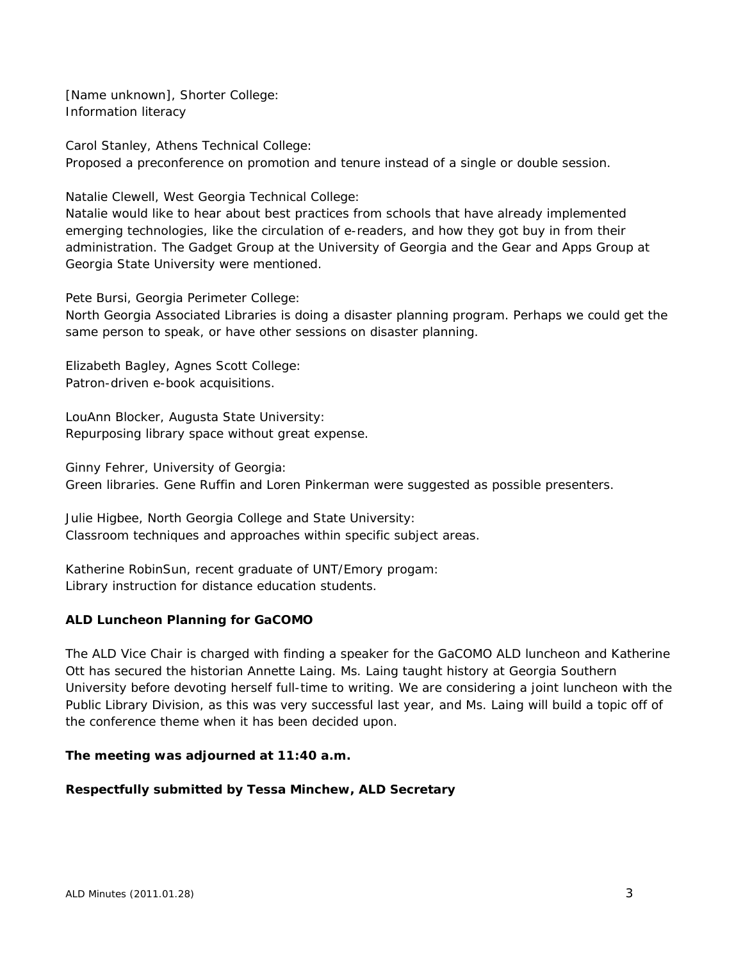[Name unknown], Shorter College: Information literacy

Carol Stanley, Athens Technical College: Proposed a preconference on promotion and tenure instead of a single or double session.

Natalie Clewell, West Georgia Technical College:

Natalie would like to hear about best practices from schools that have already implemented emerging technologies, like the circulation of e-readers, and how they got buy in from their administration. The Gadget Group at the University of Georgia and the Gear and Apps Group at Georgia State University were mentioned.

Pete Bursi, Georgia Perimeter College:

North Georgia Associated Libraries is doing a disaster planning program. Perhaps we could get the same person to speak, or have other sessions on disaster planning.

Elizabeth Bagley, Agnes Scott College: Patron-driven e-book acquisitions.

LouAnn Blocker, Augusta State University: Repurposing library space without great expense.

Ginny Fehrer, University of Georgia:

Green libraries. Gene Ruffin and Loren Pinkerman were suggested as possible presenters.

Julie Higbee, North Georgia College and State University: Classroom techniques and approaches within specific subject areas.

Katherine RobinSun, recent graduate of UNT/Emory progam: Library instruction for distance education students.

# **ALD Luncheon Planning for GaCOMO**

The ALD Vice Chair is charged with finding a speaker for the GaCOMO ALD luncheon and Katherine Ott has secured the historian Annette Laing. Ms. Laing taught history at Georgia Southern University before devoting herself full-time to writing. We are considering a joint luncheon with the Public Library Division, as this was very successful last year, and Ms. Laing will build a topic off of the conference theme when it has been decided upon.

## **The meeting was adjourned at 11:40 a.m.**

# **Respectfully submitted by Tessa Minchew, ALD Secretary**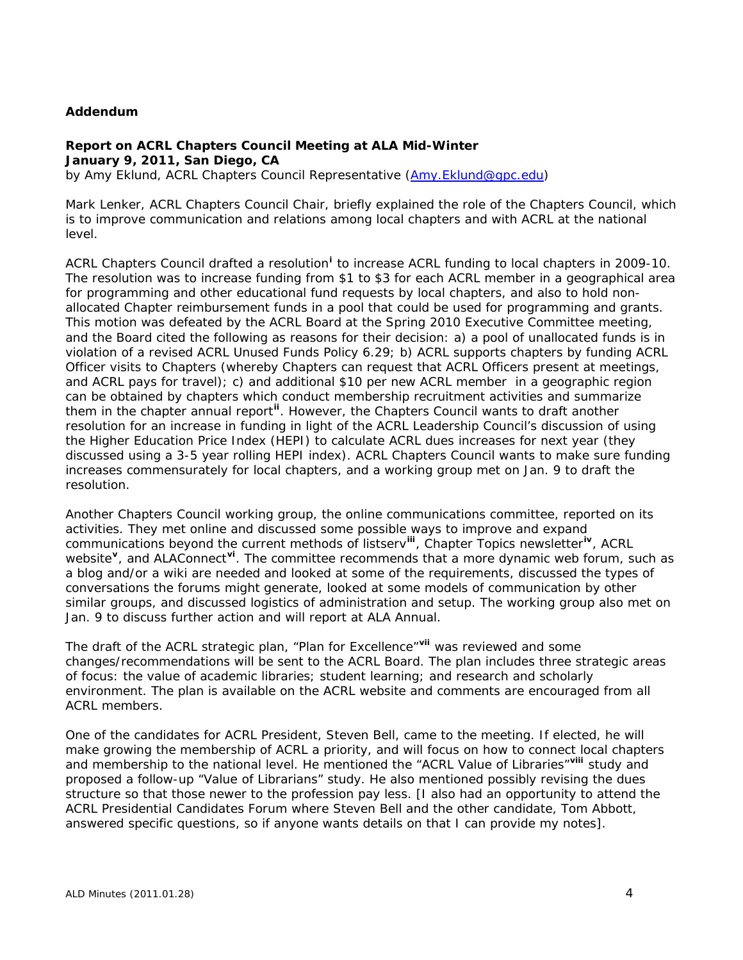## **Addendum**

# **Report on ACRL Chapters Council Meeting at ALA Mid-Winter January 9, 2011, San Diego, CA**

by Amy Eklund, ACRL Chapters Council Representative [\(Amy.Eklund@gpc.edu](mailto:Amy.Eklund@gpc.edu))

Mark Lenker, ACRL Chapters Council Chair, briefly explained the role of the Chapters Council, which is to improve communication and relations among local chapters and with ACRL at the national level.

ACRL Chapters Counc[i](#page-4-0)l drafted a resolution<sup>i</sup> to increase ACRL funding to local chapters in 2009-10. The resolution was to increase funding from \$1 to \$3 for each ACRL member in a geographical area for programming and other educational fund requests by local chapters, and also to hold nonallocated Chapter reimbursement funds in a pool that could be used for programming and grants. This motion was defeated by the ACRL Board at the Spring 2010 Executive Committee meeting, and the Board cited the following as reasons for their decision: a) a pool of unallocated funds is in violation of a revised ACRL Unused Funds Policy 6.29; b) ACRL supports chapters by funding ACRL Officer visits to Chapters (whereby Chapters can request that ACRL Officers present at meetings, and ACRL pays for travel); c) and additional \$10 per new ACRL member in a geographic region can be obtained by chapters which conduct membership recruitment activities and summarize them in the chapter annual report**[ii](#page-4-1)**. However, the Chapters Council wants to draft another resolution for an increase in funding in light of the ACRL Leadership Council's discussion of using the Higher Education Price Index (HEPI) to calculate ACRL dues increases for next year (they discussed using a 3-5 year rolling HEPI index). ACRL Chapters Council wants to make sure funding increases commensurately for local chapters, and a working group met on Jan. 9 to draft the resolution.

Another Chapters Council working group, the online communications committee, reported on its activities. They met online and discussed some possible ways to improve and expand communications beyond the current methods of listserv**[iii](#page-4-2)**, Chapter Topics newsletter**[iv](#page-4-3)**, ACRL website**[v](#page-5-0)**, and ALAConnect**[vi](#page-5-1)**. The committee recommends that a more dynamic web forum, such as a blog and/or a wiki are needed and looked at some of the requirements, discussed the types of conversations the forums might generate, looked at some models of communication by other similar groups, and discussed logistics of administration and setup. The working group also met on Jan. 9 to discuss further action and will report at ALA Annual.

The draft of the ACRL strategic plan, "Plan for Excellence"**[vii](#page-5-2)** was reviewed and some changes/recommendations will be sent to the ACRL Board. The plan includes three strategic areas of focus: the value of academic libraries; student learning; and research and scholarly environment. The plan is available on the ACRL website and comments are encouraged from all ACRL members.

One of the candidates for ACRL President, Steven Bell, came to the meeting. If elected, he will make growing the membership of ACRL a priority, and will focus on how to connect local chapters and membership to the national level. He mentioned the "ACRL Value of Libraries"**[viii](#page-5-3)** study and proposed a follow-up "Value of Librarians" study. He also mentioned possibly revising the dues structure so that those newer to the profession pay less. [I also had an opportunity to attend the ACRL Presidential Candidates Forum where Steven Bell and the other candidate, Tom Abbott, answered specific questions, so if anyone wants details on that I can provide my notes].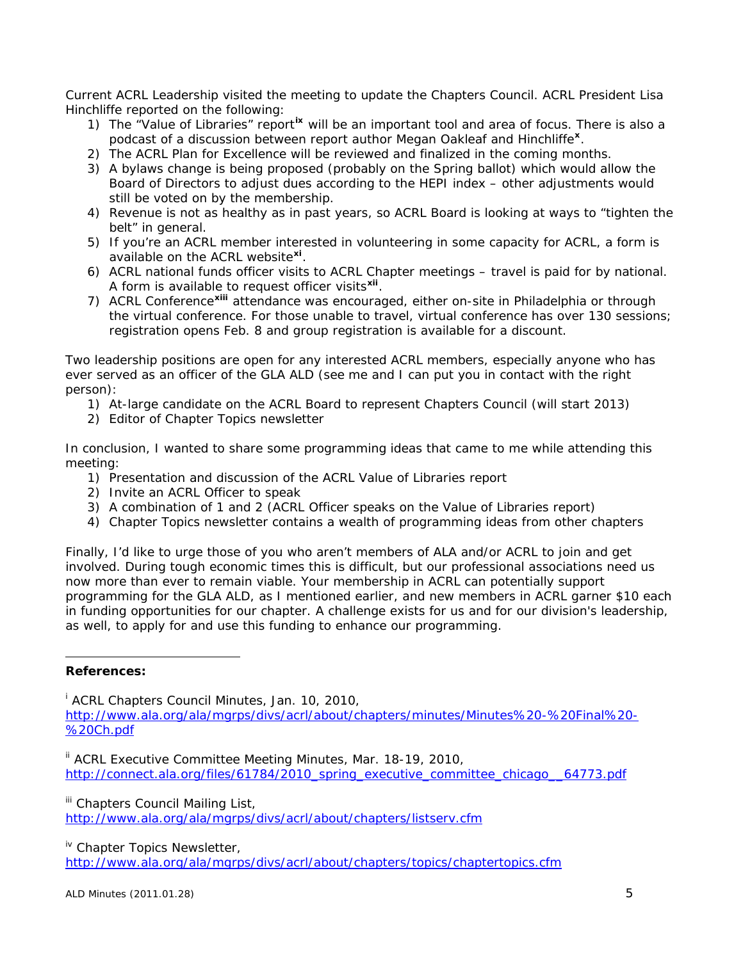Current ACRL Leadership visited the meeting to update the Chapters Council. ACRL President Lisa Hinchliffe reported on the following:

- 1) The "Value of Libraries" report**[ix](#page-5-4)** will be an important tool and area of focus. There is also a podcast of a discussion between report author Megan Oakleaf and Hinchliffe**[x](#page-5-5)**.
- 2) The ACRL Plan for Excellence will be reviewed and finalized in the coming months.
- 3) A bylaws change is being proposed (probably on the Spring ballot) which would allow the Board of Directors to adjust dues according to the HEPI index – other adjustments would still be voted on by the membership.
- 4) Revenue is not as healthy as in past years, so ACRL Board is looking at ways to "tighten the belt" in general.
- 5) If you're an ACRL member interested in volunteering in some capacity for ACRL, a form is available on the ACRL website**[xi](#page-5-6)**.
- 6) ACRL national funds officer visits to ACRL Chapter meetings travel is paid for by national. A form is available to request officer visits**[xii](#page-5-7)**.
- 7) ACRL Conference**[xiii](#page-5-8)** attendance was encouraged, either on-site in Philadelphia or through the virtual conference. For those unable to travel, virtual conference has over 130 sessions; registration opens Feb. 8 and group registration is available for a discount.

Two leadership positions are open for any interested ACRL members, especially anyone who has ever served as an officer of the GLA ALD (see me and I can put you in contact with the right person):

- 1) At-large candidate on the ACRL Board to represent Chapters Council (will start 2013)
- 2) Editor of Chapter Topics newsletter

In conclusion, I wanted to share some programming ideas that came to me while attending this meeting:

- 1) Presentation and discussion of the ACRL Value of Libraries report
- 2) Invite an ACRL Officer to speak
- 3) A combination of 1 and 2 (ACRL Officer speaks on the Value of Libraries report)
- 4) Chapter Topics newsletter contains a wealth of programming ideas from other chapters

Finally, I'd like to urge those of you who aren't members of ALA and/or ACRL to join and get involved. During tough economic times this is difficult, but our professional associations need us now more than ever to remain viable. Your membership in ACRL can potentially support programming for the GLA ALD, as I mentioned earlier, and new members in ACRL garner \$10 each in funding opportunities for our chapter. A challenge exists for us and for our division's leadership, as well, to apply for and use this funding to enhance our programming.

## <span id="page-4-0"></span>**References:**

i ACRL Chapters Council Minutes, Jan. 10, 2010, [http://www.ala.org/ala/mgrps/divs/acrl/about/chapters/minutes/Minutes%20-%20Final%20-](http://www.ala.org/ala/mgrps/divs/acrl/about/chapters/minutes/Minutes%20-%20Final%20-%20Ch.pdf) [%20Ch.pdf](http://www.ala.org/ala/mgrps/divs/acrl/about/chapters/minutes/Minutes%20-%20Final%20-%20Ch.pdf)

<span id="page-4-1"></span><sup>ii</sup> ACRL Executive Committee Meeting Minutes, Mar. 18-19, 2010, [http://connect.ala.org/files/61784/2010\\_spring\\_executive\\_committee\\_chicago\\_\\_64773.pdf](http://connect.ala.org/files/61784/2010_spring_executive_committee_chicago__64773.pdf)

<span id="page-4-2"></span><sup>iii</sup> Chapters Council Mailing List,

<http://www.ala.org/ala/mgrps/divs/acrl/about/chapters/listserv.cfm>

<span id="page-4-3"></span><sup>iv</sup> Chapter Topics Newsletter,

<http://www.ala.org/ala/mgrps/divs/acrl/about/chapters/topics/chaptertopics.cfm>